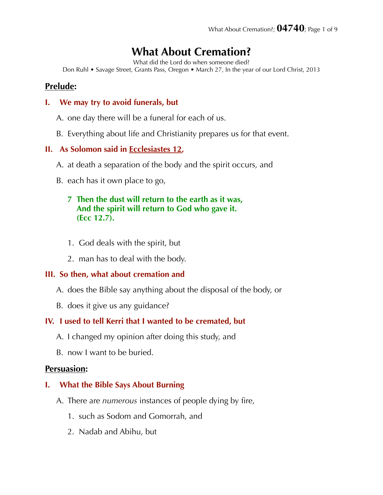# **What About Cremation?**

What did the Lord do when someone died?

Don Ruhl • Savage Street, Grants Pass, Oregon • March 27, In the year of our Lord Christ, 2013

## **Prelude:**

#### **I. We may try to avoid funerals, but**

- A. one day there will be a funeral for each of us.
- B. Everything about life and Christianity prepares us for that event.

## **II. As Solomon said in Ecclesiastes 12,**

- A. at death a separation of the body and the spirit occurs, and
- B. each has it own place to go,

## **7 Then the dust will return to the earth as it was, And the spirit will return to God who gave it. (Ecc 12.7).**

- 1. God deals with the spirit, but
- 2. man has to deal with the body.

## **III. So then, what about cremation and**

- A. does the Bible say anything about the disposal of the body, or
- B. does it give us any guidance?

## **IV. I used to tell Kerri that I wanted to be cremated, but**

- A. I changed my opinion after doing this study, and
- B. now I want to be buried.

## **Persuasion:**

## **I. What the Bible Says About Burning**

- A. There are *numerous* instances of people dying by fire,
	- 1. such as Sodom and Gomorrah, and
	- 2. Nadab and Abihu, but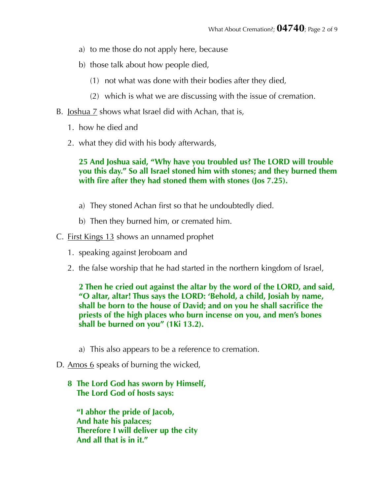- a) to me those do not apply here, because
- b) those talk about how people died,
	- (1) not what was done with their bodies after they died,
	- (2) which is what we are discussing with the issue of cremation.
- B. Joshua 7 shows what Israel did with Achan, that is,
	- 1. how he died and
	- 2. what they did with his body afterwards,

## **25 And Joshua said, "Why have you troubled us? The LORD will trouble you this day." So all Israel stoned him with stones; and they burned them with fire after they had stoned them with stones (Jos 7.25).**

- a) They stoned Achan first so that he undoubtedly died.
- b) Then they burned him, or cremated him.
- C. First Kings 13 shows an unnamed prophet
	- 1. speaking against Jeroboam and
	- 2. the false worship that he had started in the northern kingdom of Israel,

**2 Then he cried out against the altar by the word of the LORD, and said, "O altar, altar! Thus says the LORD: 'Behold, a child, Josiah by name, shall be born to the house of David; and on you he shall sacrifice the priests of the high places who burn incense on you, and men's bones shall be burned on you" (1Ki 13.2).** 

- a) This also appears to be a reference to cremation.
- D. Amos 6 speaks of burning the wicked,

## **8 The Lord God has sworn by Himself, The Lord God of hosts says:**

 **"I abhor the pride of Jacob, And hate his palaces; Therefore I will deliver up the city And all that is in it."**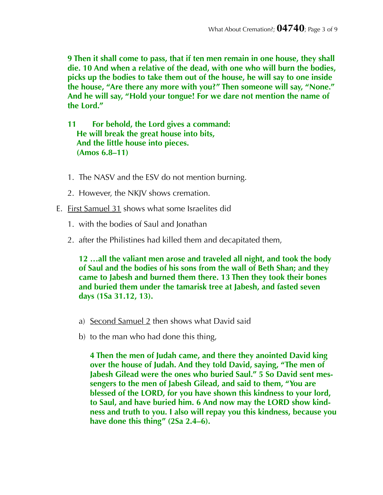**9 Then it shall come to pass, that if ten men remain in one house, they shall die. 10 And when a relative of the dead, with one who will burn the bodies, picks up the bodies to take them out of the house, he will say to one inside the house, "Are there any more with you?" Then someone will say, "None." And he will say, "Hold your tongue! For we dare not mention the name of the Lord."** 

**11 For behold, the Lord gives a command: He will break the great house into bits, And the little house into pieces. (Amos 6.8–11)** 

- 1. The NASV and the ESV do not mention burning.
- 2. However, the NKJV shows cremation.
- E. First Samuel 31 shows what some Israelites did
	- 1. with the bodies of Saul and Jonathan
	- 2. after the Philistines had killed them and decapitated them,

**12 …all the valiant men arose and traveled all night, and took the body of Saul and the bodies of his sons from the wall of Beth Shan; and they came to Jabesh and burned them there. 13 Then they took their bones and buried them under the tamarisk tree at Jabesh, and fasted seven days (1Sa 31.12, 13).** 

- a) Second Samuel 2 then shows what David said
- b) to the man who had done this thing,

**4 Then the men of Judah came, and there they anointed David king over the house of Judah. And they told David, saying, "The men of Jabesh Gilead were the ones who buried Saul." 5 So David sent messengers to the men of Jabesh Gilead, and said to them, "You are blessed of the LORD, for you have shown this kindness to your lord, to Saul, and have buried him. 6 And now may the LORD show kindness and truth to you. I also will repay you this kindness, because you have done this thing" (2Sa 2.4–6).**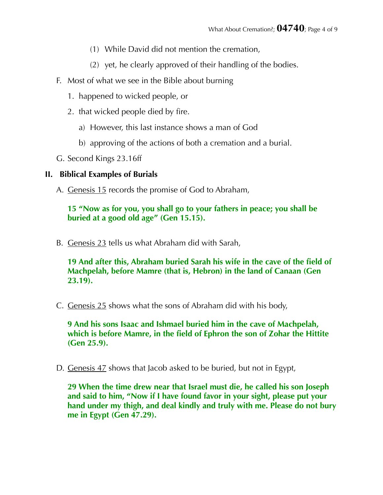- (1) While David did not mention the cremation,
- (2) yet, he clearly approved of their handling of the bodies.
- F. Most of what we see in the Bible about burning
	- 1. happened to wicked people, or
	- 2. that wicked people died by fire.
		- a) However, this last instance shows a man of God
		- b) approving of the actions of both a cremation and a burial.
- G. Second Kings 23.16ff

## **II. Biblical Examples of Burials**

A. Genesis 15 records the promise of God to Abraham,

**15 "Now as for you, you shall go to your fathers in peace; you shall be buried at a good old age" (Gen 15.15).** 

B. Genesis 23 tells us what Abraham did with Sarah,

**19 And after this, Abraham buried Sarah his wife in the cave of the field of Machpelah, before Mamre (that is, Hebron) in the land of Canaan (Gen 23.19).** 

C. Genesis 25 shows what the sons of Abraham did with his body,

**9 And his sons Isaac and Ishmael buried him in the cave of Machpelah, which is before Mamre, in the field of Ephron the son of Zohar the Hittite (Gen 25.9).** 

D. Genesis 47 shows that Jacob asked to be buried, but not in Egypt,

**29 When the time drew near that Israel must die, he called his son Joseph and said to him, "Now if I have found favor in your sight, please put your hand under my thigh, and deal kindly and truly with me. Please do not bury me in Egypt (Gen 47.29).**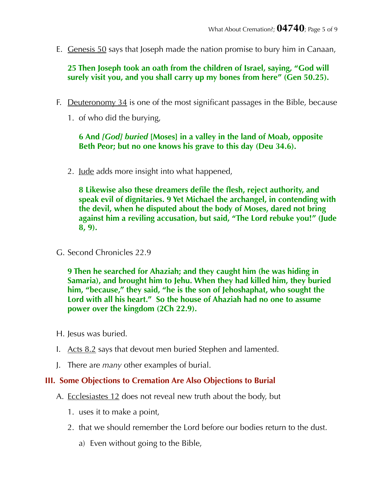E. Genesis 50 says that Joseph made the nation promise to bury him in Canaan,

**25 Then Joseph took an oath from the children of Israel, saying, "God will surely visit you, and you shall carry up my bones from here" (Gen 50.25).** 

- F. Deuteronomy 34 is one of the most significant passages in the Bible, because
	- 1. of who did the burying,

#### **6 And** *[God] buried* **[Moses] in a valley in the land of Moab, opposite Beth Peor; but no one knows his grave to this day (Deu 34.6).**

2. <u>Jude</u> adds more insight into what happened,

**8 Likewise also these dreamers defile the flesh, reject authority, and speak evil of dignitaries. 9 Yet Michael the archangel, in contending with the devil, when he disputed about the body of Moses, dared not bring against him a reviling accusation, but said, "The Lord rebuke you!" (Jude 8, 9).** 

G. Second Chronicles 22.9

**9 Then he searched for Ahaziah; and they caught him (he was hiding in Samaria), and brought him to Jehu. When they had killed him, they buried him, "because," they said, "he is the son of Jehoshaphat, who sought the Lord with all his heart." So the house of Ahaziah had no one to assume power over the kingdom (2Ch 22.9).** 

- H. Jesus was buried.
- I. Acts 8.2 says that devout men buried Stephen and lamented.
- J. There are *many* other examples of burial.

#### **III. Some Objections to Cremation Are Also Objections to Burial**

- A. Ecclesiastes 12 does not reveal new truth about the body, but
	- 1. uses it to make a point,
	- 2. that we should remember the Lord before our bodies return to the dust.
		- a) Even without going to the Bible,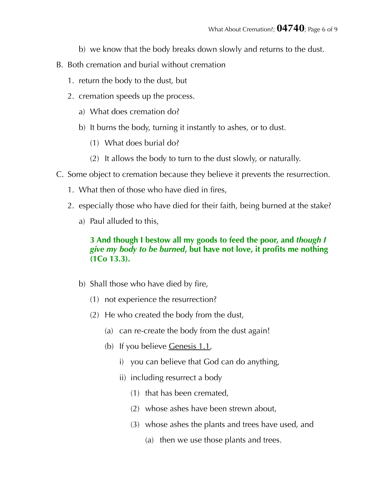- b) we know that the body breaks down slowly and returns to the dust.
- B. Both cremation and burial without cremation
	- 1. return the body to the dust, but
	- 2. cremation speeds up the process.
		- a) What does cremation do?
		- b) It burns the body, turning it instantly to ashes, or to dust.
			- (1) What does burial do?
			- (2) It allows the body to turn to the dust slowly, or naturally.
- C. Some object to cremation because they believe it prevents the resurrection.
	- 1. What then of those who have died in fires,
	- 2. especially those who have died for their faith, being burned at the stake?
		- a) Paul alluded to this,

## **3 And though I bestow all my goods to feed the poor, and** *though I give my body to be burned***, but have not love, it profits me nothing (1Co 13.3).**

- b) Shall those who have died by fire,
	- (1) not experience the resurrection?
	- (2) He who created the body from the dust,
		- (a) can re-create the body from the dust again!
		- (b) If you believe Genesis 1.1,
			- i) you can believe that God can do anything,
			- ii) including resurrect a body
				- (1) that has been cremated,
				- (2) whose ashes have been strewn about,
				- (3) whose ashes the plants and trees have used, and
					- (a) then we use those plants and trees.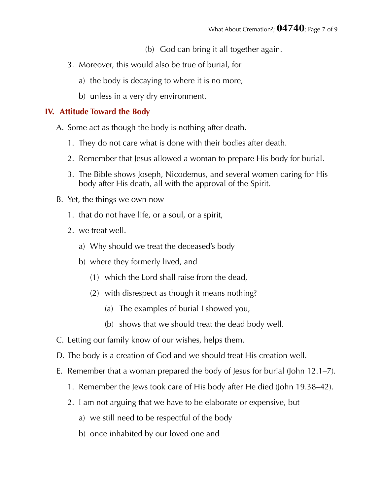- (b) God can bring it all together again.
- 3. Moreover, this would also be true of burial, for
	- a) the body is decaying to where it is no more,
	- b) unless in a very dry environment.

#### **IV. Attitude Toward the Body**

- A. Some act as though the body is nothing after death.
	- 1. They do not care what is done with their bodies after death.
	- 2. Remember that Jesus allowed a woman to prepare His body for burial.
	- 3. The Bible shows Joseph, Nicodemus, and several women caring for His body after His death, all with the approval of the Spirit.
- B. Yet, the things we own now
	- 1. that do not have life, or a soul, or a spirit,
	- 2. we treat well.
		- a) Why should we treat the deceased's body
		- b) where they formerly lived, and
			- (1) which the Lord shall raise from the dead,
			- (2) with disrespect as though it means nothing?
				- (a) The examples of burial I showed you,
				- (b) shows that we should treat the dead body well.
- C. Letting our family know of our wishes, helps them.
- D. The body is a creation of God and we should treat His creation well.
- E. Remember that a woman prepared the body of Jesus for burial (John 12.1–7).
	- 1. Remember the Jews took care of His body after He died (John 19.38–42).
	- 2. I am not arguing that we have to be elaborate or expensive, but
		- a) we still need to be respectful of the body
		- b) once inhabited by our loved one and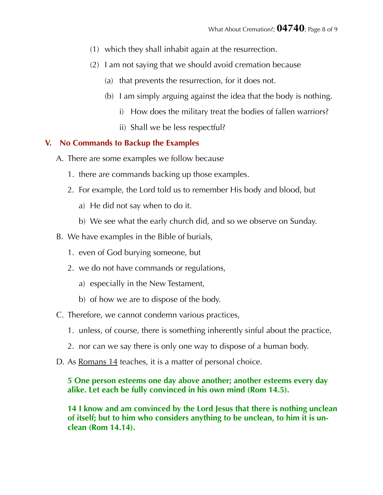- (1) which they shall inhabit again at the resurrection.
- (2) I am not saying that we should avoid cremation because
	- (a) that prevents the resurrection, for it does not.
	- (b) I am simply arguing against the idea that the body is nothing.
		- i) How does the military treat the bodies of fallen warriors?
		- ii) Shall we be less respectful?

## **V. No Commands to Backup the Examples**

- A. There are some examples we follow because
	- 1. there are commands backing up those examples.
	- 2. For example, the Lord told us to remember His body and blood, but
		- a) He did not say when to do it.
		- b) We see what the early church did, and so we observe on Sunday.
- B. We have examples in the Bible of burials,
	- 1. even of God burying someone, but
	- 2. we do not have commands or regulations,
		- a) especially in the New Testament,
		- b) of how we are to dispose of the body.
- C. Therefore, we cannot condemn various practices,
	- 1. unless, of course, there is something inherently sinful about the practice,
	- 2. nor can we say there is only one way to dispose of a human body.
- D. As Romans 14 teaches, it is a matter of personal choice.

**5 One person esteems one day above another; another esteems every day alike. Let each be fully convinced in his own mind (Rom 14.5).** 

**14 I know and am convinced by the Lord Jesus that there is nothing unclean of itself; but to him who considers anything to be unclean, to him it is unclean (Rom 14.14).**